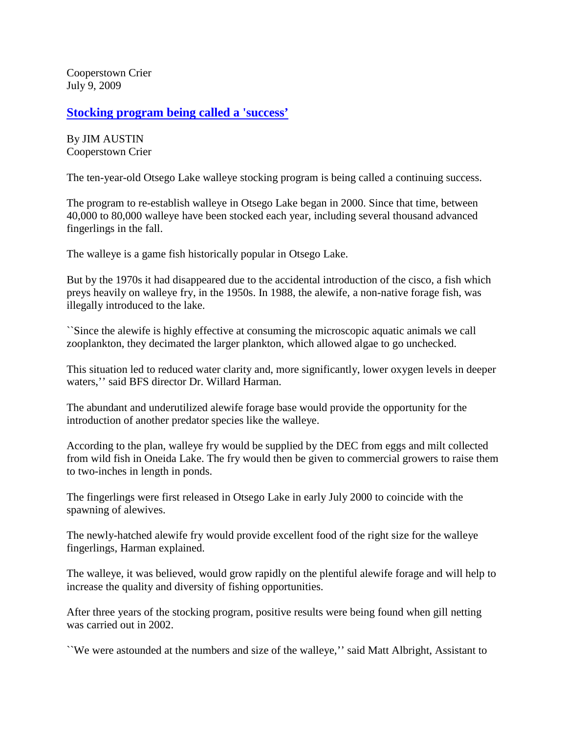Cooperstown Crier July 9, 2009

## **[Stocking program being called a 'success'](http://www.coopercrier.com/local/x1472021449/Stocking-program-being-called-a-success)**

By JIM AUSTIN Cooperstown Crier

The ten-year-old Otsego Lake walleye stocking program is being called a continuing success.

The program to re-establish walleye in Otsego Lake began in 2000. Since that time, between 40,000 to 80,000 walleye have been stocked each year, including several thousand advanced fingerlings in the fall.

The walleye is a game fish historically popular in Otsego Lake.

But by the 1970s it had disappeared due to the accidental introduction of the cisco, a fish which preys heavily on walleye fry, in the 1950s. In 1988, the alewife, a non-native forage fish, was illegally introduced to the lake.

``Since the alewife is highly effective at consuming the microscopic aquatic animals we call zooplankton, they decimated the larger plankton, which allowed algae to go unchecked.

This situation led to reduced water clarity and, more significantly, lower oxygen levels in deeper waters,'' said BFS director Dr. Willard Harman.

The abundant and underutilized alewife forage base would provide the opportunity for the introduction of another predator species like the walleye.

According to the plan, walleye fry would be supplied by the DEC from eggs and milt collected from wild fish in Oneida Lake. The fry would then be given to commercial growers to raise them to two-inches in length in ponds.

The fingerlings were first released in Otsego Lake in early July 2000 to coincide with the spawning of alewives.

The newly-hatched alewife fry would provide excellent food of the right size for the walleye fingerlings, Harman explained.

The walleye, it was believed, would grow rapidly on the plentiful alewife forage and will help to increase the quality and diversity of fishing opportunities.

After three years of the stocking program, positive results were being found when gill netting was carried out in 2002.

``We were astounded at the numbers and size of the walleye,'' said Matt Albright, Assistant to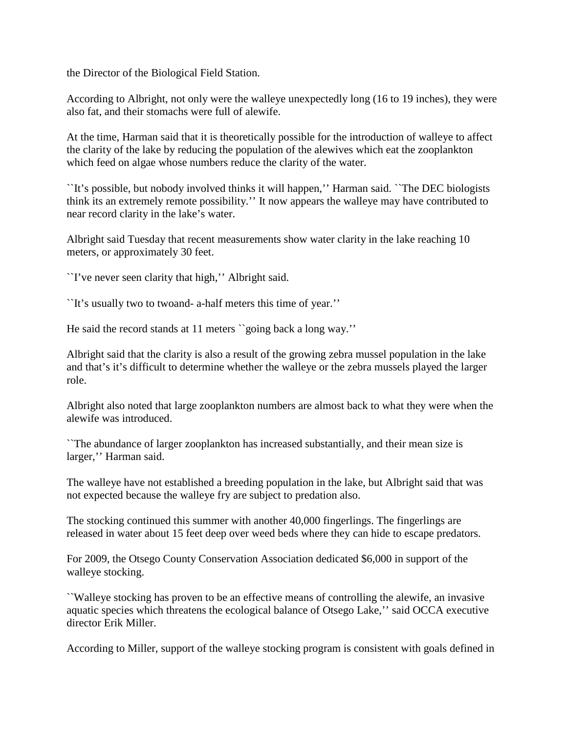the Director of the Biological Field Station.

According to Albright, not only were the walleye unexpectedly long (16 to 19 inches), they were also fat, and their stomachs were full of alewife.

At the time, Harman said that it is theoretically possible for the introduction of walleye to affect the clarity of the lake by reducing the population of the alewives which eat the zooplankton which feed on algae whose numbers reduce the clarity of the water.

``It's possible, but nobody involved thinks it will happen,'' Harman said. ``The DEC biologists think its an extremely remote possibility.'' It now appears the walleye may have contributed to near record clarity in the lake's water.

Albright said Tuesday that recent measurements show water clarity in the lake reaching 10 meters, or approximately 30 feet.

``I've never seen clarity that high,'' Albright said.

``It's usually two to twoand- a-half meters this time of year.''

He said the record stands at 11 meters ``going back a long way.''

Albright said that the clarity is also a result of the growing zebra mussel population in the lake and that's it's difficult to determine whether the walleye or the zebra mussels played the larger role.

Albright also noted that large zooplankton numbers are almost back to what they were when the alewife was introduced.

``The abundance of larger zooplankton has increased substantially, and their mean size is larger,'' Harman said.

The walleye have not established a breeding population in the lake, but Albright said that was not expected because the walleye fry are subject to predation also.

The stocking continued this summer with another 40,000 fingerlings. The fingerlings are released in water about 15 feet deep over weed beds where they can hide to escape predators.

For 2009, the Otsego County Conservation Association dedicated \$6,000 in support of the walleye stocking.

``Walleye stocking has proven to be an effective means of controlling the alewife, an invasive aquatic species which threatens the ecological balance of Otsego Lake,'' said OCCA executive director Erik Miller.

According to Miller, support of the walleye stocking program is consistent with goals defined in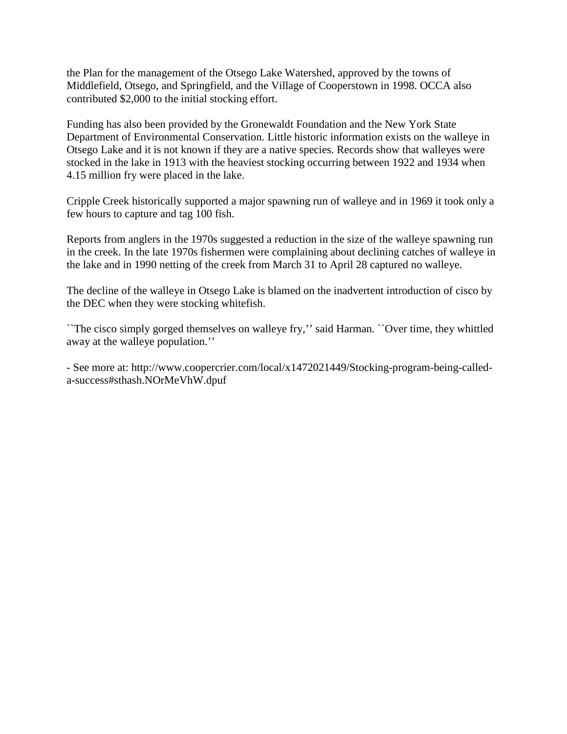the Plan for the management of the Otsego Lake Watershed, approved by the towns of Middlefield, Otsego, and Springfield, and the Village of Cooperstown in 1998. OCCA also contributed \$2,000 to the initial stocking effort.

Funding has also been provided by the Gronewaldt Foundation and the New York State Department of Environmental Conservation. Little historic information exists on the walleye in Otsego Lake and it is not known if they are a native species. Records show that walleyes were stocked in the lake in 1913 with the heaviest stocking occurring between 1922 and 1934 when 4.15 million fry were placed in the lake.

Cripple Creek historically supported a major spawning run of walleye and in 1969 it took only a few hours to capture and tag 100 fish.

Reports from anglers in the 1970s suggested a reduction in the size of the walleye spawning run in the creek. In the late 1970s fishermen were complaining about declining catches of walleye in the lake and in 1990 netting of the creek from March 31 to April 28 captured no walleye.

The decline of the walleye in Otsego Lake is blamed on the inadvertent introduction of cisco by the DEC when they were stocking whitefish.

``The cisco simply gorged themselves on walleye fry,'' said Harman. ``Over time, they whittled away at the walleye population.''

- See more at: http://www.coopercrier.com/local/x1472021449/Stocking-program-being-calleda-success#sthash.NOrMeVhW.dpuf